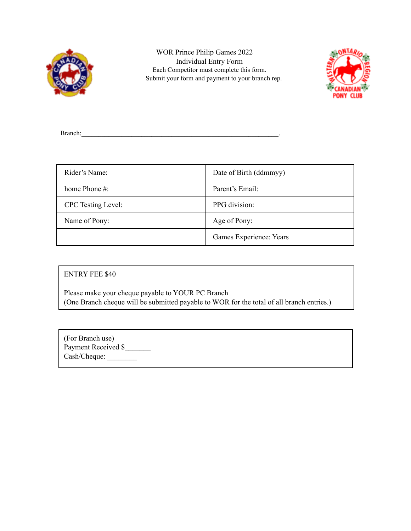

WOR Prince Philip Games 2022 Individual Entry Form Each Competitor must complete this form. Submit your form and payment to your branch rep.



Branch:

| Rider's Name:             | Date of Birth (ddmmyy)  |
|---------------------------|-------------------------|
| home Phone $#$ :          | Parent's Email:         |
| <b>CPC</b> Testing Level: | PPG division:           |
| Name of Pony:             | Age of Pony:            |
|                           | Games Experience: Years |

## ENTRY FEE \$40

Please make your cheque payable to YOUR PC Branch (One Branch cheque will be submitted payable to WOR for the total of all branch entries.)

| (For Branch use)    |  |
|---------------------|--|
| Payment Received \$ |  |
| Cash/Cheque:        |  |